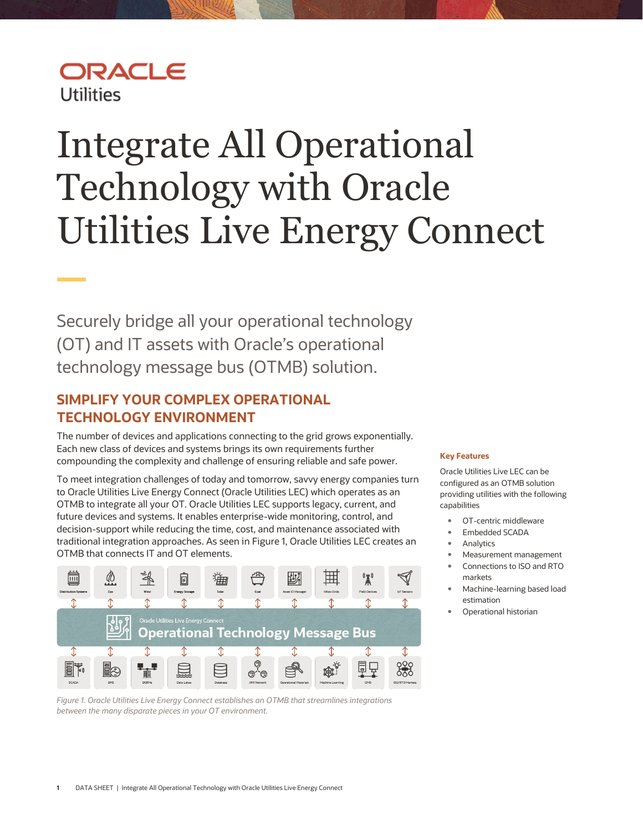## ORACLE **Utilities**

# <span id="page-0-0"></span>Integrate All Operational Technology with Oracle Utilities Live Energy Connect

Securely bridge all your operational technology (OT) and IT assets with Oracle's operational technology message bus (OTMB) solution.

#### **SIMPLIFY YOUR COMPLEX OPERATIONAL TECHNOLOGY ENVIRONMENT**

The number of devices and applications connecting to the grid grows exponentially. Each new class of devices and systems brings its own requirements further compounding the complexity and challenge of ensuring reliable and safe power.

To meet integration challenges of today and tomorrow, savvy energy companies turn to Oracle Utilities Live Energy Connect (Oracle Utilities LEC) which operates as an OTMB to integrate all your OT. Oracle Utilities LEC supports legacy, current, and future devices and systems. It enables enterprise-wide monitoring, control, and decision-support while reducing the time, cost, and maintenance associated with traditional integration approaches. As seen in Figure 1, Oracle Utilities LEC creates an OTMB that connects IT and OT elements.



*Figure 1. Oracle Utilities Live Energy Connect establishes an OTMB that streamlines integrations between the many disparate pieces in your OT environment.* 

#### **Key Features**

Oracle Utilities Live LEC can be configured as an OTMB solution providing utilities with the following capabilities

- OT-centric middleware
- Embedded SCADA
- Analytics
- Measurement management
- Connections to ISO and RTO markets
- Machine-learning based load estimation
- Operational historian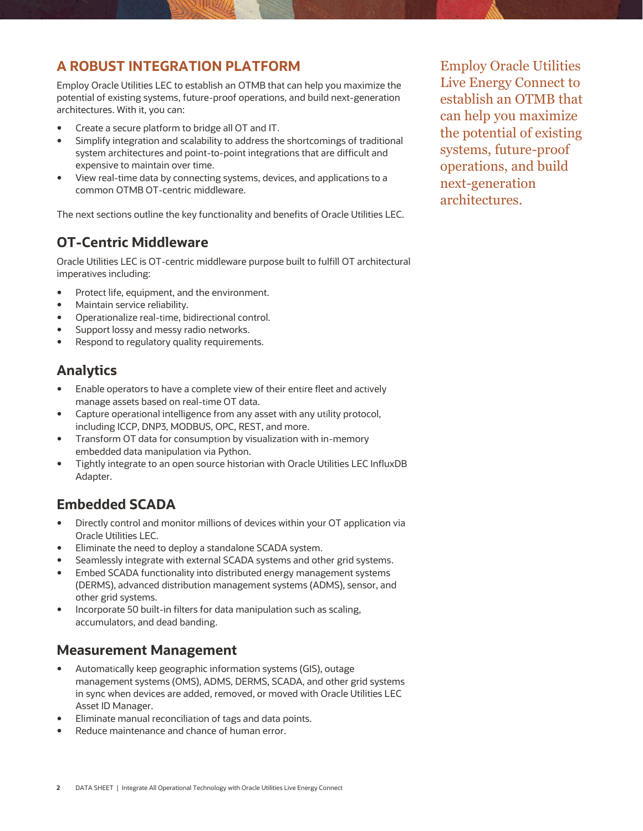### **A ROBUST INTEGRATION PLATFORM**

Employ Oracle Utilities LEC to establish an OTMB that can help you maximize the potential of existing systems, future-proof operations, and build next-generation architectures. With it, you can:

- Create a secure platform to bridge all OT and IT.
- Simplify integration and scalability to address the shortcomings of traditional system architectures and point-to-point integrations that are difficult and expensive to maintain over time.
- View real-time data by connecting systems, devices, and applications to a common OTMB OT-centric middleware.

The next sections outline the key functionality and benefits of Oracle Utilities LEC.

#### **OT-Centric Middleware**

Oracle Utilities LEC is OT-centric middleware purpose built to fulfill OT architectural imperatives including:

- Protect life, equipment, and the environment.
- Maintain service reliability.
- Operationalize real-time, bidirectional control.
- Support lossy and messy radio networks.
- Respond to regulatory quality requirements.

## **Analytics**

- Enable operators to have a complete view of their entire fleet and actively manage assets based on real-time OT data.
- Capture operational intelligence from any asset with any utility protocol, including ICCP, DNP3, MODBUS, OPC, REST, and more.
- Transform OT data for consumption by visualization with in-memory embedded data manipulation via Python.
- Tightly integrate to an open source historian with Oracle Utilities LEC InfluxDB Adapter.

## **Embedded SCADA**

- Directly control and monitor millions of devices within your OT application via Oracle Utilities LEC.
- Eliminate the need to deploy a standalone SCADA system.
- Seamlessly integrate with external SCADA systems and other grid systems.
- Embed SCADA functionality into distributed energy management systems (DERMS), advanced distribution management systems (ADMS), sensor, and other grid systems.
- Incorporate 50 built-in filters for data manipulation such as scaling, accumulators, and dead banding.

#### **Measurement Management**

- Automatically keep geographic information systems (GIS), outage management systems (OMS), ADMS, DERMS, SCADA, and other grid systems in sync when devices are added, removed, or moved with Oracle Utilities LEC Asset ID Manager.
- Eliminate manual reconciliation of tags and data points.
- Reduce maintenance and chance of human error.

Employ Oracle Utilities Live Energy Connect to establish an OTMB that can help you maximize the potential of existing systems, future-proof operations, and build next-generation architectures.